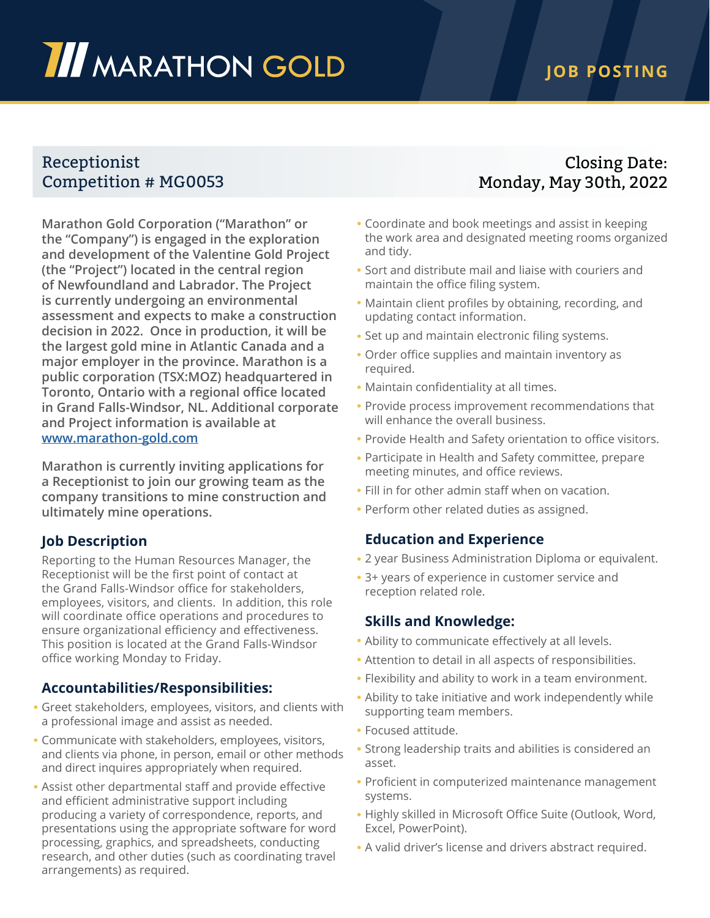# **III** MARATHON GOLD

## **JOB POSTING**

## Receptionist Competition # MG0053

**Marathon Gold Corporation ("Marathon" or the "Company") is engaged in the exploration and development of the Valentine Gold Project (the "Project") located in the central region of Newfoundland and Labrador. The Project is currently undergoing an environmental assessment and expects to make a construction decision in 2022. Once in production, it will be the largest gold mine in Atlantic Canada and a major employer in the province. Marathon is a public corporation (TSX:MOZ) headquartered in Toronto, Ontario with a regional office located in Grand Falls-Windsor, NL. Additional corporate and Project information is available at [www.marathon-gold.com](http://www.marathon-gold.com)**

**Marathon is currently inviting applications for a Receptionist to join our growing team as the company transitions to mine construction and ultimately mine operations.** 

### **Job Description**

Reporting to the Human Resources Manager, the Receptionist will be the first point of contact at the Grand Falls-Windsor office for stakeholders, employees, visitors, and clients. In addition, this role will coordinate office operations and procedures to ensure organizational efficiency and effectiveness. This position is located at the Grand Falls-Windsor office working Monday to Friday.

### **Accountabilities/Responsibilities:**

- Greet stakeholders, employees, visitors, and clients with a professional image and assist as needed.
- Communicate with stakeholders, employees, visitors, and clients via phone, in person, email or other methods and direct inquires appropriately when required.
- Assist other departmental staff and provide effective and efficient administrative support including producing a variety of correspondence, reports, and presentations using the appropriate software for word processing, graphics, and spreadsheets, conducting research, and other duties (such as coordinating travel arrangements) as required.

## Closing Date: Monday, May 30th, 2022

- Coordinate and book meetings and assist in keeping the work area and designated meeting rooms organized and tidy.
- Sort and distribute mail and liaise with couriers and maintain the office filing system.
- Maintain client profiles by obtaining, recording, and updating contact information.
- Set up and maintain electronic filing systems.
- Order office supplies and maintain inventory as required.
- Maintain confidentiality at all times.
- Provide process improvement recommendations that will enhance the overall business.
- Provide Health and Safety orientation to office visitors.
- Participate in Health and Safety committee, prepare meeting minutes, and office reviews.
- Fill in for other admin staff when on vacation.
- Perform other related duties as assigned.

#### **Education and Experience**

- 2 year Business Administration Diploma or equivalent.
- 3+ years of experience in customer service and reception related role.

#### **Skills and Knowledge:**

- Ability to communicate effectively at all levels.
- Attention to detail in all aspects of responsibilities.
- Flexibility and ability to work in a team environment.
- Ability to take initiative and work independently while supporting team members.
- Focused attitude.
- Strong leadership traits and abilities is considered an asset.
- Proficient in computerized maintenance management systems.
- Highly skilled in Microsoft Office Suite (Outlook, Word, Excel, PowerPoint).
- A valid driver's license and drivers abstract required.